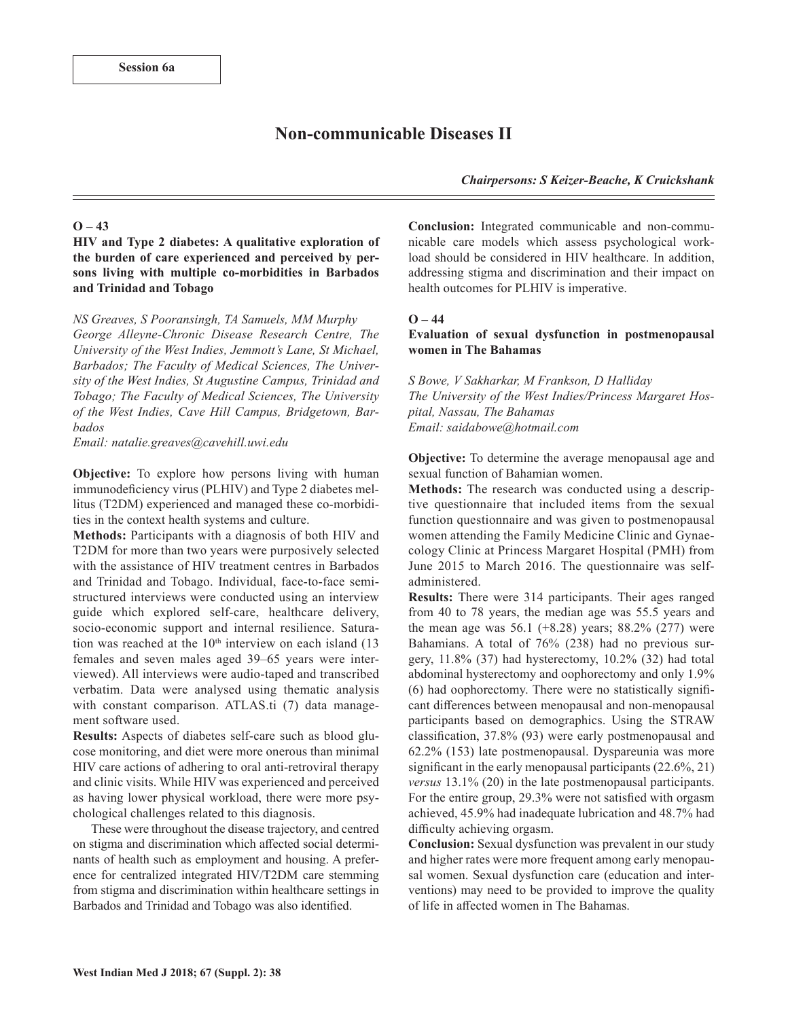# **Non-communicable Diseases II**

*Chairpersons: S Keizer-Beache, K Cruickshank*

### **O – 43**

**HIV and Type 2 diabetes: A qualitative exploration of the burden of care experienced and perceived by persons living with multiple co-morbidities in Barbados and Trinidad and Tobago** 

*NS Greaves, S Pooransingh, TA Samuels, MM Murphy*

*George Alleyne-Chronic Disease Research Centre, The University of the West Indies, Jemmott's Lane, St Michael, Barbados; The Faculty of Medical Sciences, The University of the West Indies, St Augustine Campus, Trinidad and Tobago; The Faculty of Medical Sciences, The University of the West Indies, Cave Hill Campus, Bridgetown, Barbados*

*Email: natalie.greaves@cavehill.uwi.edu* 

**Objective:** To explore how persons living with human immunodeficiency virus (PLHIV) and Type 2 diabetes mellitus (T2DM) experienced and managed these co-morbidities in the context health systems and culture.

**Methods:** Participants with a diagnosis of both HIV and T2DM for more than two years were purposively selected with the assistance of HIV treatment centres in Barbados and Trinidad and Tobago. Individual, face-to-face semistructured interviews were conducted using an interview guide which explored self-care, healthcare delivery, socio-economic support and internal resilience. Saturation was reached at the  $10<sup>th</sup>$  interview on each island (13 females and seven males aged 39–65 years were interviewed). All interviews were audio-taped and transcribed verbatim. Data were analysed using thematic analysis with constant comparison. ATLAS.ti (7) data management software used.

**Results:** Aspects of diabetes self-care such as blood glucose monitoring, and diet were more onerous than minimal HIV care actions of adhering to oral anti-retroviral therapy and clinic visits. While HIV was experienced and perceived as having lower physical workload, there were more psychological challenges related to this diagnosis.

These were throughout the disease trajectory, and centred on stigma and discrimination which affected social determinants of health such as employment and housing. A preference for centralized integrated HIV/T2DM care stemming from stigma and discrimination within healthcare settings in Barbados and Trinidad and Tobago was also identified.

**Conclusion:** Integrated communicable and non-communicable care models which assess psychological workload should be considered in HIV healthcare. In addition, addressing stigma and discrimination and their impact on health outcomes for PLHIV is imperative.

## **O – 44**

## **Evaluation of sexual dysfunction in postmenopausal women in The Bahamas**

*S Bowe, V Sakharkar, M Frankson, D Halliday The University of the West Indies/Princess Margaret Hospital, Nassau, The Bahamas Email: saidabowe@hotmail.com* 

**Objective:** To determine the average menopausal age and sexual function of Bahamian women.

**Methods:** The research was conducted using a descriptive questionnaire that included items from the sexual function questionnaire and was given to postmenopausal women attending the Family Medicine Clinic and Gynaecology Clinic at Princess Margaret Hospital (PMH) from June 2015 to March 2016. The questionnaire was selfadministered.

**Results:** There were 314 participants. Their ages ranged from 40 to 78 years, the median age was 55.5 years and the mean age was  $56.1$  (+8.28) years; 88.2% (277) were Bahamians. A total of 76% (238) had no previous surgery, 11.8% (37) had hysterectomy, 10.2% (32) had total abdominal hysterectomy and oophorectomy and only 1.9% (6) had oophorectomy. There were no statistically significant differences between menopausal and non-menopausal participants based on demographics. Using the STRAW classification, 37.8% (93) were early postmenopausal and 62.2% (153) late postmenopausal. Dyspareunia was more significant in the early menopausal participants (22.6%, 21) *versus* 13.1% (20) in the late postmenopausal participants. For the entire group, 29.3% were not satisfied with orgasm achieved, 45.9% had inadequate lubrication and 48.7% had difficulty achieving orgasm.

**Conclusion:** Sexual dysfunction was prevalent in our study and higher rates were more frequent among early menopausal women. Sexual dysfunction care (education and interventions) may need to be provided to improve the quality of life in affected women in The Bahamas.